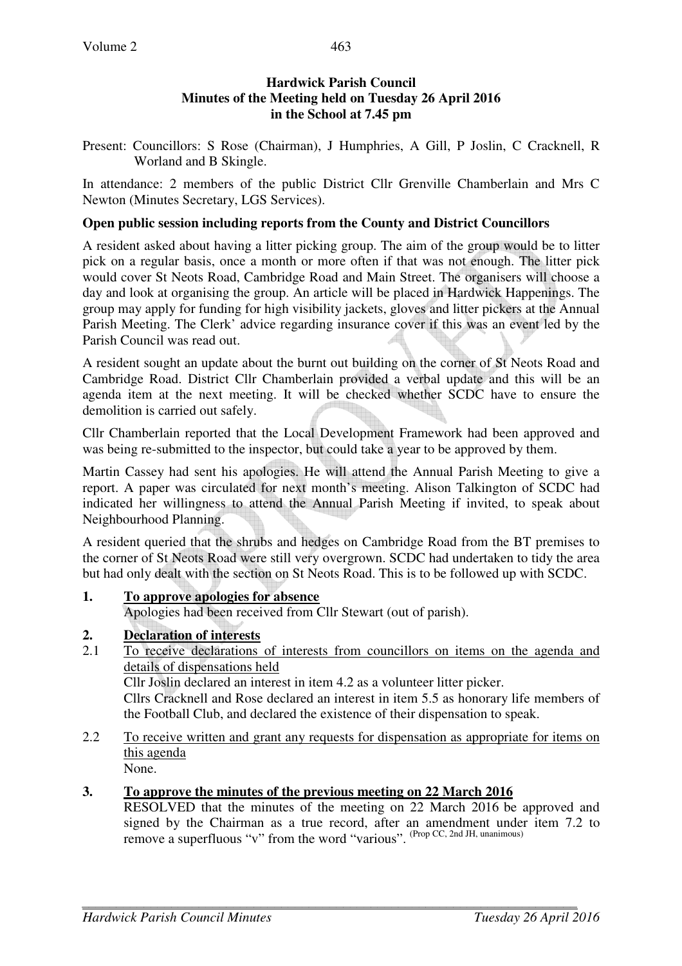## **Hardwick Parish Council Minutes of the Meeting held on Tuesday 26 April 2016 in the School at 7.45 pm**

Present: Councillors: S Rose (Chairman), J Humphries, A Gill, P Joslin, C Cracknell, R Worland and B Skingle.

In attendance: 2 members of the public District Cllr Grenville Chamberlain and Mrs C Newton (Minutes Secretary, LGS Services).

#### **Open public session including reports from the County and District Councillors**

A resident asked about having a litter picking group. The aim of the group would be to litter pick on a regular basis, once a month or more often if that was not enough. The litter pick would cover St Neots Road, Cambridge Road and Main Street. The organisers will choose a day and look at organising the group. An article will be placed in Hardwick Happenings. The group may apply for funding for high visibility jackets, gloves and litter pickers at the Annual Parish Meeting. The Clerk' advice regarding insurance cover if this was an event led by the Parish Council was read out.

A resident sought an update about the burnt out building on the corner of St Neots Road and Cambridge Road. District Cllr Chamberlain provided a verbal update and this will be an agenda item at the next meeting. It will be checked whether SCDC have to ensure the demolition is carried out safely.

Cllr Chamberlain reported that the Local Development Framework had been approved and was being re-submitted to the inspector, but could take a year to be approved by them.

Martin Cassey had sent his apologies. He will attend the Annual Parish Meeting to give a report. A paper was circulated for next month's meeting. Alison Talkington of SCDC had indicated her willingness to attend the Annual Parish Meeting if invited, to speak about Neighbourhood Planning.

A resident queried that the shrubs and hedges on Cambridge Road from the BT premises to the corner of St Neots Road were still very overgrown. SCDC had undertaken to tidy the area but had only dealt with the section on St Neots Road. This is to be followed up with SCDC.

#### **1. To approve apologies for absence**

Apologies had been received from Cllr Stewart (out of parish).

# **2. Declaration of interests**

2.1 To receive declarations of interests from councillors on items on the agenda and details of dispensations held

Cllr Joslin declared an interest in item 4.2 as a volunteer litter picker.

Cllrs Cracknell and Rose declared an interest in item 5.5 as honorary life members of the Football Club, and declared the existence of their dispensation to speak.

2.2 To receive written and grant any requests for dispensation as appropriate for items on this agenda None.

**3. To approve the minutes of the previous meeting on 22 March 2016** 

RESOLVED that the minutes of the meeting on 22 March 2016 be approved and signed by the Chairman as a true record, after an amendment under item 7.2 to remove a superfluous "v" from the word "various". (Prop CC, 2nd JH, unanimous)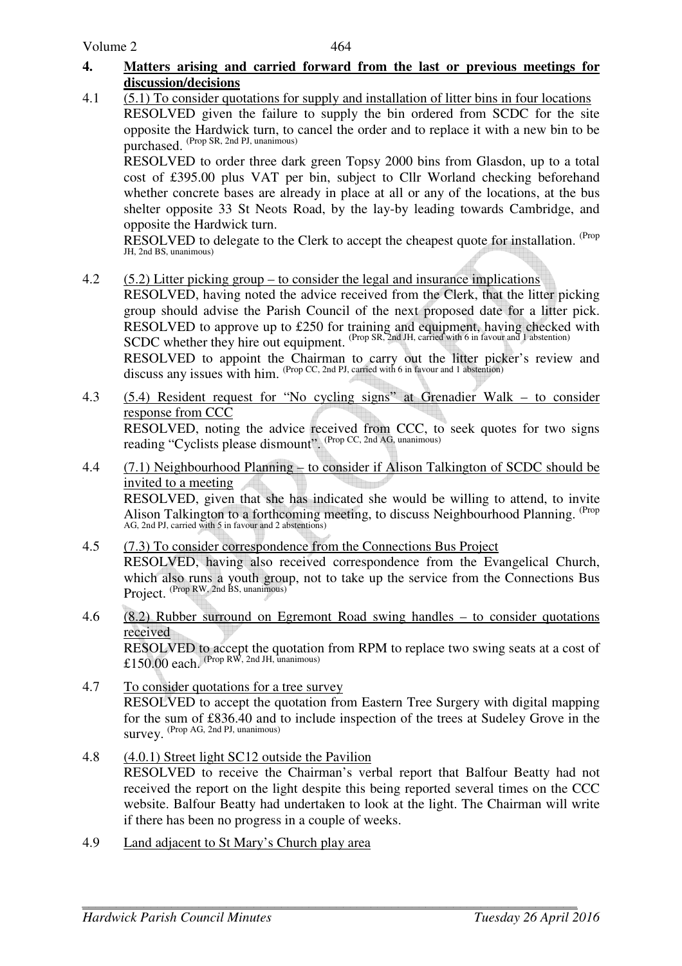#### **4. Matters arising and carried forward from the last or previous meetings for discussion/decisions**

4.1 (5.1) To consider quotations for supply and installation of litter bins in four locations RESOLVED given the failure to supply the bin ordered from SCDC for the site opposite the Hardwick turn, to cancel the order and to replace it with a new bin to be purchased. (Prop SR, 2nd PJ, unanimous)

RESOLVED to order three dark green Topsy 2000 bins from Glasdon, up to a total cost of £395.00 plus VAT per bin, subject to Cllr Worland checking beforehand whether concrete bases are already in place at all or any of the locations, at the bus shelter opposite 33 St Neots Road, by the lay-by leading towards Cambridge, and opposite the Hardwick turn.

RESOLVED to delegate to the Clerk to accept the cheapest quote for installation. <sup>(Prop</sup> JH, 2nd BS, unanimous)

4.2 (5.2) Litter picking group – to consider the legal and insurance implications

RESOLVED, having noted the advice received from the Clerk, that the litter picking group should advise the Parish Council of the next proposed date for a litter pick. RESOLVED to approve up to £250 for training and equipment, having checked with SCDC whether they hire out equipment. (Prop SR, 2nd JH, carried with 6 in favour and 1 abstention) RESOLVED to appoint the Chairman to carry out the litter picker's review and

discuss any issues with him. (Prop CC, 2nd PJ, carried with 6 in favour and 1 abstention)

- 4.3 (5.4) Resident request for "No cycling signs" at Grenadier Walk to consider response from CCC RESOLVED, noting the advice received from CCC, to seek quotes for two signs reading "Cyclists please dismount". (Prop CC, 2nd AG, unanimous)
- 4.4 (7.1) Neighbourhood Planning to consider if Alison Talkington of SCDC should be invited to a meeting RESOLVED, given that she has indicated she would be willing to attend, to invite Alison Talkington to a forthcoming meeting, to discuss Neighbourhood Planning. <sup>(Prop</sup>) AG, 2nd PJ, carried with 5 in favour and 2 abstentions)
- 4.5 (7.3) To consider correspondence from the Connections Bus Project RESOLVED, having also received correspondence from the Evangelical Church, which also runs a youth group, not to take up the service from the Connections Bus Project. <sup>(Prop RW, 2nd BS, unanimous)</sup>
- 4.6 (8.2) Rubber surround on Egremont Road swing handles to consider quotations received RESOLVED to accept the quotation from RPM to replace two swing seats at a cost of £150.00 each. (Prop RW, 2nd JH, unanimous)
- 4.7 To consider quotations for a tree survey RESOLVED to accept the quotation from Eastern Tree Surgery with digital mapping for the sum of £836.40 and to include inspection of the trees at Sudeley Grove in the survey. (Prop AG, 2nd PJ, unanimous)
- 4.8 (4.0.1) Street light SC12 outside the Pavilion RESOLVED to receive the Chairman's verbal report that Balfour Beatty had not received the report on the light despite this being reported several times on the CCC website. Balfour Beatty had undertaken to look at the light. The Chairman will write if there has been no progress in a couple of weeks.
- 4.9 Land adjacent to St Mary's Church play area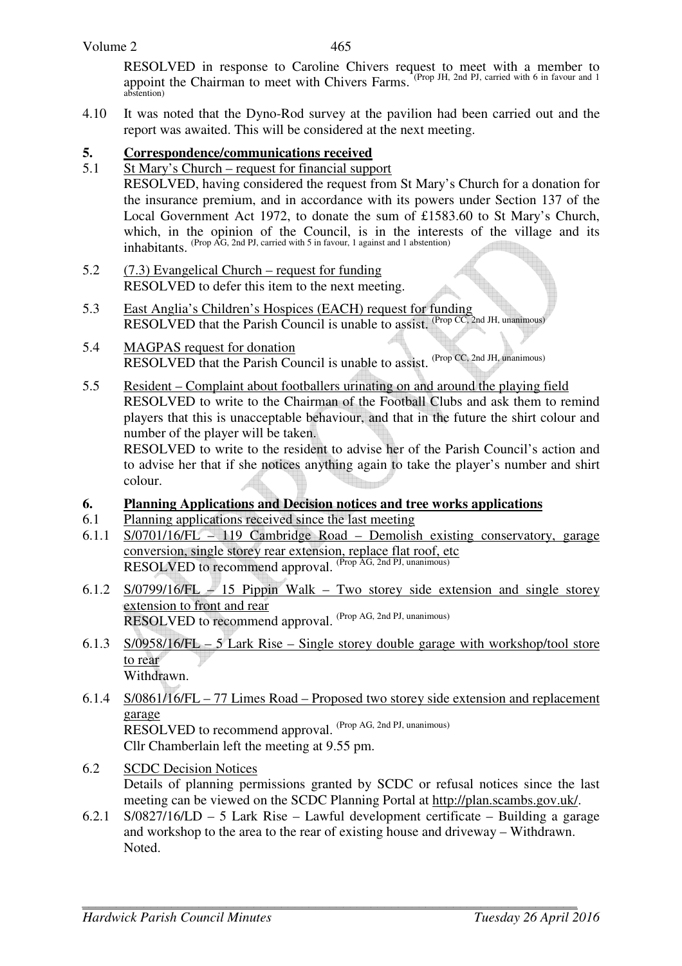#### Volume 2

465

 RESOLVED in response to Caroline Chivers request to meet with a member to appoint the Chairman to meet with Chivers Farms. (Prop JH, 2nd PJ, carried with 6 in favour and 1 abstention)

4.10 It was noted that the Dyno-Rod survey at the pavilion had been carried out and the report was awaited. This will be considered at the next meeting.

## **5. Correspondence/communications received**

- 5.1 St Mary's Church request for financial support RESOLVED, having considered the request from St Mary's Church for a donation for the insurance premium, and in accordance with its powers under Section 137 of the Local Government Act 1972, to donate the sum of £1583.60 to St Mary's Church, which, in the opinion of the Council, is in the interests of the village and its inhabitants. (Prop AG, 2nd PJ, carried with 5 in favour, 1 against and 1 abstention)
- 5.2 (7.3) Evangelical Church request for funding RESOLVED to defer this item to the next meeting.
- 5.3 East Anglia's Children's Hospices (EACH) request for funding RESOLVED that the Parish Council is unable to assist. (Prop CC, 2nd JH, unanimous)
- 5.4 MAGPAS request for donation RESOLVED that the Parish Council is unable to assist. (Prop CC, 2nd JH, unanimous)
- 5.5 Resident Complaint about footballers urinating on and around the playing field RESOLVED to write to the Chairman of the Football Clubs and ask them to remind players that this is unacceptable behaviour, and that in the future the shirt colour and number of the player will be taken.

RESOLVED to write to the resident to advise her of the Parish Council's action and to advise her that if she notices anything again to take the player's number and shirt colour.

#### **6. Planning Applications and Decision notices and tree works applications**

- 6.1 Planning applications received since the last meeting
- 6.1.1 S/0701/16/FL 119 Cambridge Road Demolish existing conservatory, garage conversion, single storey rear extension, replace flat roof, etc RESOLVED to recommend approval. (Prop AG, 2nd PJ, unanimous)
- 6.1.2 S/0799/16/FL 15 Pippin Walk Two storey side extension and single storey extension to front and rear RESOLVED to recommend approval. (Prop AG, 2nd PJ, unanimous)
- 6.1.3 S/0958/16/FL 5 Lark Rise Single storey double garage with workshop/tool store to rear Withdrawn.
- 6.1.4 S/0861/16/FL 77 Limes Road Proposed two storey side extension and replacement garage RESOLVED to recommend approval. (Prop AG, 2nd PJ, unanimous) Cllr Chamberlain left the meeting at 9.55 pm.
- 6.2 SCDC Decision Notices Details of planning permissions granted by SCDC or refusal notices since the last meeting can be viewed on the SCDC Planning Portal at http://plan.scambs.gov.uk/.
- 6.2.1 S/0827/16/LD 5 Lark Rise Lawful development certificate Building a garage and workshop to the area to the rear of existing house and driveway – Withdrawn. Noted.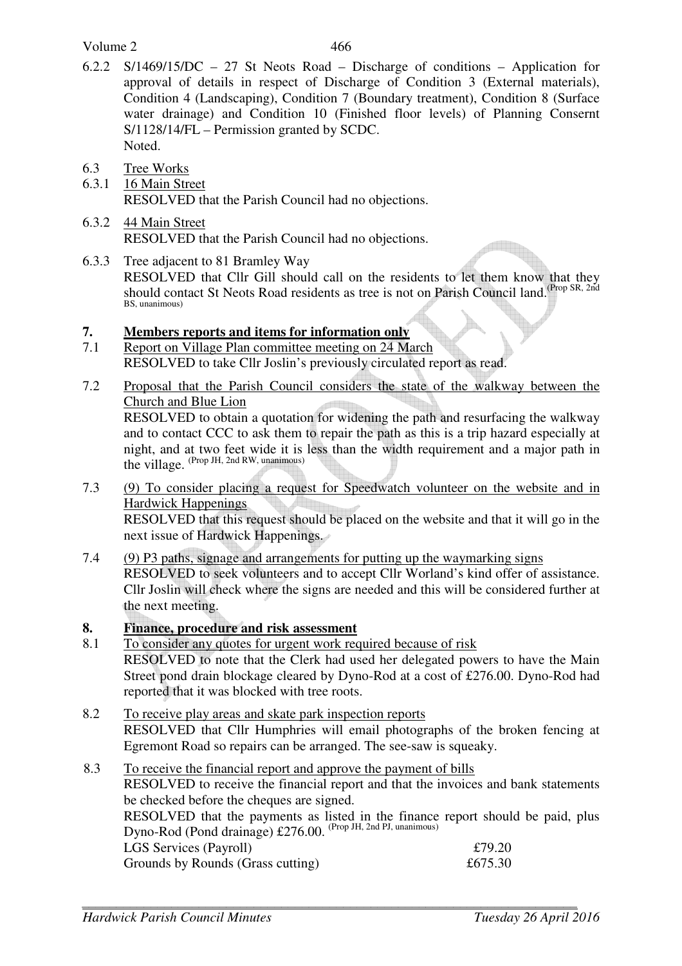#### Volume 2

- 6.2.2 S/1469/15/DC 27 St Neots Road Discharge of conditions Application for approval of details in respect of Discharge of Condition 3 (External materials), Condition 4 (Landscaping), Condition 7 (Boundary treatment), Condition 8 (Surface water drainage) and Condition 10 (Finished floor levels) of Planning Consernt S/1128/14/FL – Permission granted by SCDC. Noted.
- 6.3 Tree Works
- 6.3.1 16 Main Street RESOLVED that the Parish Council had no objections.
- 6.3.2 44 Main Street RESOLVED that the Parish Council had no objections.
- $\mathbb{Z}$ 6.3.3 Tree adjacent to 81 Bramley Way RESOLVED that Cllr Gill should call on the residents to let them know that they should contact St Neots Road residents as tree is not on Parish Council land.<sup>(Prop SR, 2nd</sup> BS, unanimous)
- **7. Members reports and items for information only**
- 7.1 Report on Village Plan committee meeting on 24 March RESOLVED to take Cllr Joslin's previously circulated report as read.
- 7.2 Proposal that the Parish Council considers the state of the walkway between the Church and Blue Lion RESOLVED to obtain a quotation for widening the path and resurfacing the walkway and to contact CCC to ask them to repair the path as this is a trip hazard especially at

night, and at two feet wide it is less than the width requirement and a major path in  $\frac{1}{2}$   $\frac{1}{2}$   $\frac{1}{2}$  (Prop JH, 2nd RW, unanimous) 7.3 (9) To consider placing a request for Speedwatch volunteer on the website and in

- Hardwick Happenings RESOLVED that this request should be placed on the website and that it will go in the next issue of Hardwick Happenings.
- 7.4 (9) P3 paths, signage and arrangements for putting up the waymarking signs RESOLVED to seek volunteers and to accept Cllr Worland's kind offer of assistance. Cllr Joslin will check where the signs are needed and this will be considered further at the next meeting.
- **8. Finance, procedure and risk assessment**
- 8.1 To consider any quotes for urgent work required because of risk RESOLVED to note that the Clerk had used her delegated powers to have the Main Street pond drain blockage cleared by Dyno-Rod at a cost of £276.00. Dyno-Rod had reported that it was blocked with tree roots.
- 8.2 To receive play areas and skate park inspection reports RESOLVED that Cllr Humphries will email photographs of the broken fencing at Egremont Road so repairs can be arranged. The see-saw is squeaky.
- 8.3 To receive the financial report and approve the payment of bills RESOLVED to receive the financial report and that the invoices and bank statements be checked before the cheques are signed. RESOLVED that the payments as listed in the finance report should be paid, plus Dyno-Rod (Pond drainage) £276.00. (Prop JH, 2nd PJ, unanimous) LGS Services (Payroll)  $£79.20$ Grounds by Rounds (Grass cutting)  $£675.30$